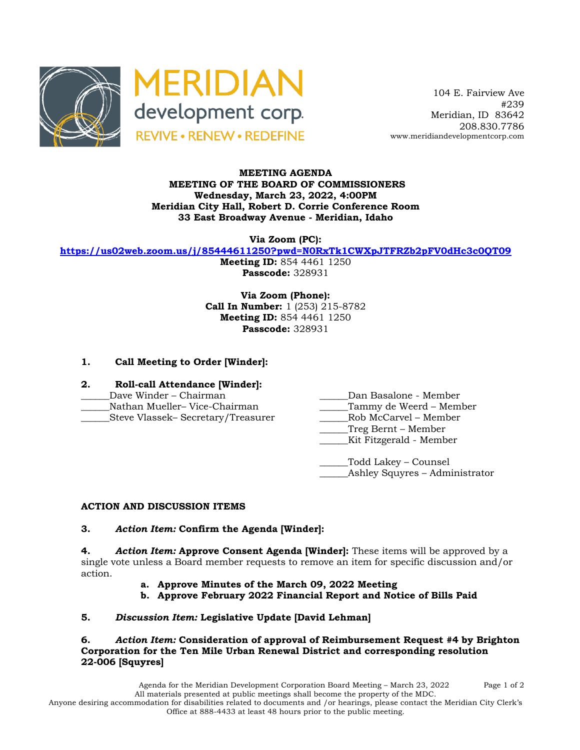



 104 E. Fairview Ave #239 Meridian, ID 83642 208.830.7786 www.meridiandevelopmentcorp.com

### **MEETING AGENDA MEETING OF THE BOARD OF COMMISSIONERS Wednesday, March 23, 2022, 4:00PM Meridian City Hall, Robert D. Corrie Conference Room 33 East Broadway Avenue - Meridian, Idaho**

**Via Zoom (PC):**

**https://us02web.zoom.us/j/85444611250?pwd=N0RxTk1CWXpJTFRZb2pFV0dHc3c0QT09**

**Meeting ID:** 854 4461 1250 **Passcode:** 328931

**Via Zoom (Phone): Call In Number:** 1 (253) 215-8782 **Meeting ID:** 854 4461 1250 **Passcode:** 328931

# **1. Call Meeting to Order [Winder]:**

- **2. Roll-call Attendance [Winder]:**
- 
- 
- 
- \_\_\_\_\_\_Dave Winder Chairman \_\_\_\_\_\_Dan Basalone Member
- Nathan Mueller– Vice-Chairman and Tammy de Weerd Member
- \_\_\_\_\_\_Steve Vlassek– Secretary/Treasurer \_\_\_\_\_\_Rob McCarvel Member
	- \_\_\_\_\_\_Treg Bernt Member
	- Kit Fitzgerald Member
	- \_\_\_\_\_\_Todd Lakey Counsel \_Ashley Squyres – Administrator

# **ACTION AND DISCUSSION ITEMS**

### **3.** *Action Item:* **Confirm the Agenda [Winder]:**

**4.** *Action Item:* **Approve Consent Agenda [Winder]:** These items will be approved by a single vote unless a Board member requests to remove an item for specific discussion and/or action.

- **a. Approve Minutes of the March 09, 2022 Meeting**
- **b. Approve February 2022 Financial Report and Notice of Bills Paid**

# **5.** *Discussion Item:* **Legislative Update [David Lehman]**

**6.** *Action Item:* **Consideration of approval of Reimbursement Request #4 by Brighton Corporation for the Ten Mile Urban Renewal District and corresponding resolution 22-006 [Squyres]**